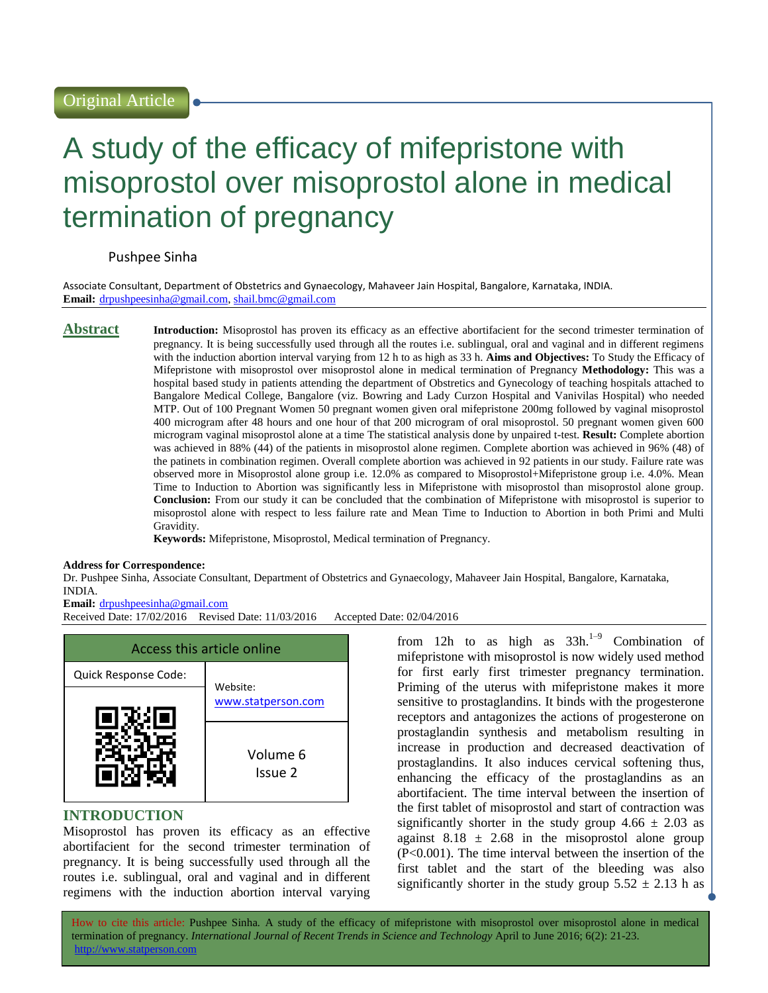# A study of the efficacy of mifepristone with misoprostol over misoprostol alone in medical termination of pregnancy

# Pushpee Sinha

Associate Consultant, Department of Obstetrics and Gynaecology, Mahaveer Jain Hospital, Bangalore, Karnataka, INDIA. **Email:** [drpushpeesinha@gmail.com,](mailto:drpushpeesinha@gmail.com) [shail.bmc@gmail.com](mailto:shail.bmc@gmail.com)

**Abstract Introduction:** Misoprostol has proven its efficacy as an effective abortifacient for the second trimester termination of pregnancy. It is being successfully used through all the routes i.e. sublingual, oral and vaginal and in different regimens with the induction abortion interval varying from 12 h to as high as 33 h. **Aims and Objectives:** To Study the Efficacy of Mifepristone with misoprostol over misoprostol alone in medical termination of Pregnancy **Methodology:** This was a hospital based study in patients attending the department of Obstretics and Gynecology of teaching hospitals attached to Bangalore Medical College, Bangalore (viz. Bowring and Lady Curzon Hospital and Vanivilas Hospital) who needed MTP. Out of 100 Pregnant Women 50 pregnant women given oral mifepristone 200mg followed by vaginal misoprostol 400 microgram after 48 hours and one hour of that 200 microgram of oral misoprostol. 50 pregnant women given 600 microgram vaginal misoprostol alone at a time The statistical analysis done by unpaired t-test. **Result:** Complete abortion was achieved in 88% (44) of the patients in misoprostol alone regimen. Complete abortion was achieved in 96% (48) of the patinets in combination regimen. Overall complete abortion was achieved in 92 patients in our study. Failure rate was observed more in Misoprostol alone group i.e. 12.0% as compared to Misoprostol+Mifepristone group i.e. 4.0%. Mean Time to Induction to Abortion was significantly less in Mifepristone with misoprostol than misoprostol alone group. **Conclusion:** From our study it can be concluded that the combination of Mifepristone with misoprostol is superior to misoprostol alone with respect to less failure rate and Mean Time to Induction to Abortion in both Primi and Multi Gravidity.

**Keywords:** Mifepristone, Misoprostol, Medical termination of Pregnancy.

#### **Address for Correspondence:**

Dr. Pushpee Sinha, Associate Consultant, Department of Obstetrics and Gynaecology, Mahaveer Jain Hospital, Bangalore, Karnataka, INDIA.

#### **Email:** [drpushpeesinha@gmail.com](mailto:drpushpeesinha@gmail.com)

Received Date: 17/02/2016 Revised Date: 11/03/2016 Accepted Date: 02/04/2016



# **INTRODUCTION**

Misoprostol has proven its efficacy as an effective abortifacient for the second trimester termination of pregnancy. It is being successfully used through all the routes i.e. sublingual, oral and vaginal and in different regimens with the induction abortion interval varying

from 12h to as high as  $33h^{1-9}$  Combination of mifepristone with misoprostol is now widely used method for first early first trimester pregnancy termination. Priming of the uterus with mifepristone makes it more sensitive to prostaglandins. It binds with the progesterone receptors and antagonizes the actions of progesterone on prostaglandin synthesis and metabolism resulting in increase in production and decreased deactivation of prostaglandins. It also induces cervical softening thus, enhancing the efficacy of the prostaglandins as an abortifacient. The time interval between the insertion of the first tablet of misoprostol and start of contraction was significantly shorter in the study group  $4.66 \pm 2.03$  as against  $8.18 \pm 2.68$  in the misoprostol alone group (P<0.001). The time interval between the insertion of the first tablet and the start of the bleeding was also significantly shorter in the study group  $5.52 \pm 2.13$  h as

How to cite this article: Pushpee Sinha*.* A study of the efficacy of mifepristone with misoprostol over misoprostol alone in medical termination of pregnancy. *International Journal of Recent Trends in Science and Technology* April to June 2016; 6(2): 21-23. http://www.statperson.com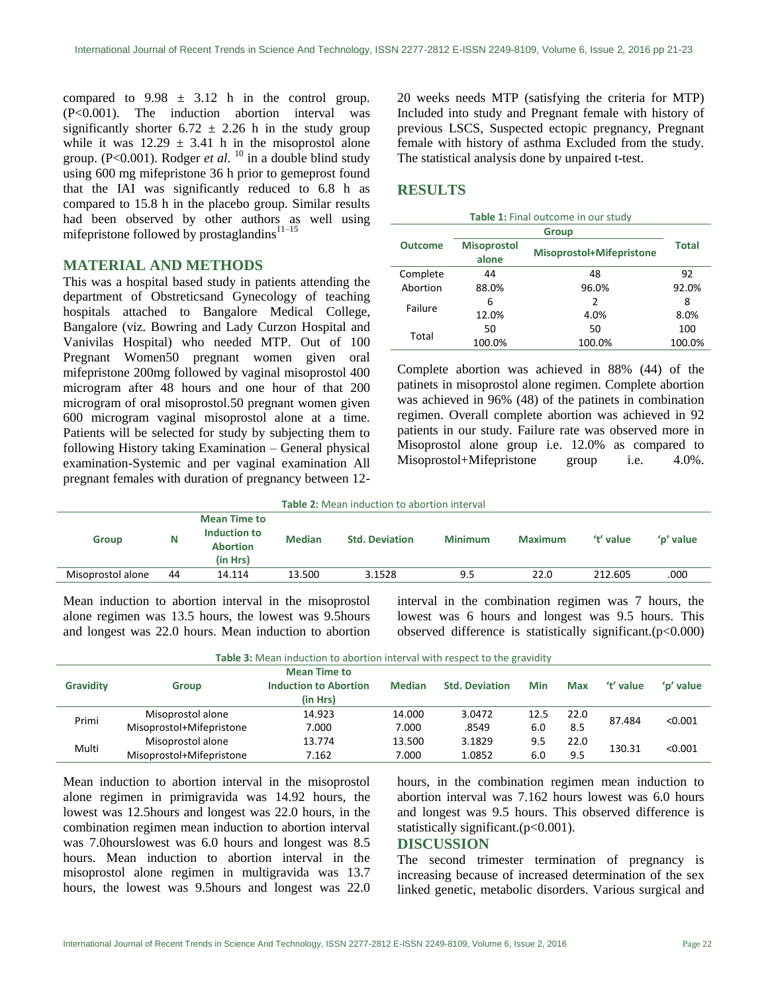compared to  $9.98 \pm 3.12$  h in the control group. (P<0.001). The induction abortion interval was significantly shorter  $6.72 \pm 2.26$  h in the study group while it was  $12.29 \pm 3.41$  h in the misoprostol alone group. (P<0.001). Rodger *et al*. <sup>10</sup> in a double blind study using 600 mg mifepristone 36 h prior to gemeprost found that the IAI was significantly reduced to 6.8 h as compared to 15.8 h in the placebo group. Similar results had been observed by other authors as well using mifepristone followed by prostaglandins<sup>11–15</sup>

#### **MATERIAL AND METHODS**

This was a hospital based study in patients attending the department of Obstreticsand Gynecology of teaching hospitals attached to Bangalore Medical College, Bangalore (viz. Bowring and Lady Curzon Hospital and Vanivilas Hospital) who needed MTP. Out of 100 Pregnant Women50 pregnant women given oral mifepristone 200mg followed by vaginal misoprostol 400 microgram after 48 hours and one hour of that 200 microgram of oral misoprostol.50 pregnant women given 600 microgram vaginal misoprostol alone at a time. Patients will be selected for study by subjecting them to following History taking Examination – General physical examination-Systemic and per vaginal examination All pregnant females with duration of pregnancy between 1220 weeks needs MTP (satisfying the criteria for MTP) Included into study and Pregnant female with history of previous LSCS, Suspected ectopic pregnancy, Pregnant female with history of asthma Excluded from the study. The statistical analysis done by unpaired t-test.

# **RESULTS**

| Table 1: Final outcome in our study |                             |                          |        |  |  |  |
|-------------------------------------|-----------------------------|--------------------------|--------|--|--|--|
| <b>Outcome</b>                      |                             |                          |        |  |  |  |
|                                     | <b>Misoprostol</b><br>alone | Misoprostol+Mifepristone |        |  |  |  |
| Complete                            | 44                          | 48                       | 92     |  |  |  |
| Abortion                            | 88.0%                       | 96.0%                    | 92.0%  |  |  |  |
| Failure                             | 6                           | 2                        | 8      |  |  |  |
|                                     | 12.0%                       | 4.0%                     | 8.0%   |  |  |  |
| Total                               | 50                          | 50                       | 100    |  |  |  |
|                                     | 100.0%                      | 100.0%                   | 100.0% |  |  |  |

Complete abortion was achieved in 88% (44) of the patinets in misoprostol alone regimen. Complete abortion was achieved in 96% (48) of the patinets in combination regimen. Overall complete abortion was achieved in 92 patients in our study. Failure rate was observed more in Misoprostol alone group i.e. 12.0% as compared to Misoprostol+Mifepristone group i.e. 4.0%.

| <b>Table 2:</b> Mean induction to abortion interval |    |                                                                    |               |                       |                |                |           |           |
|-----------------------------------------------------|----|--------------------------------------------------------------------|---------------|-----------------------|----------------|----------------|-----------|-----------|
| <b>Group</b>                                        | N  | <b>Mean Time to</b><br>Induction to<br><b>Abortion</b><br>(in Hrs) | <b>Median</b> | <b>Std. Deviation</b> | <b>Minimum</b> | <b>Maximum</b> | 't' value | 'p' value |
| Misoprostol alone                                   | 44 | 14.114                                                             | 13.500        | 3.1528                | 9.5            | 22.0           | 212.605   | .000      |
|                                                     |    |                                                                    |               |                       |                |                |           |           |

Mean induction to abortion interval in the misoprostol alone regimen was 13.5 hours, the lowest was 9.5hours and longest was 22.0 hours. Mean induction to abortion interval in the combination regimen was 7 hours, the lowest was 6 hours and longest was 9.5 hours. This observed difference is statistically significant. $(p<0.000)$ 

**Table 3:** Mean induction to abortion interval with respect to the gravidity

| <b>Gravidity</b> | Group                    | <b>Mean Time to</b><br><b>Induction to Abortion</b><br>(in Hrs) | <b>Median</b> | <b>Std. Deviation</b> | Min  | Max  | 't' value | 'n' value |
|------------------|--------------------------|-----------------------------------------------------------------|---------------|-----------------------|------|------|-----------|-----------|
| Primi            | Misoprostol alone        | 14.923                                                          | 14.000        | 3.0472                | 12.5 | 22.0 | 87.484    | < 0.001   |
|                  | Misoprostol+Mifepristone | 7.000                                                           | 7.000         | .8549                 | 6.0  | 8.5  |           |           |
| Multi            | Misoprostol alone        | 13.774                                                          | 13.500        | 3.1829                | 9.5  | 22.0 |           | < 0.001   |
|                  | Misoprostol+Mifepristone | 7.162                                                           | 7.000         | 1.0852                | 6.0  | 9.5  | 130.31    |           |

Mean induction to abortion interval in the misoprostol alone regimen in primigravida was 14.92 hours, the lowest was 12.5hours and longest was 22.0 hours, in the combination regimen mean induction to abortion interval was 7.0hourslowest was 6.0 hours and longest was 8.5 hours. Mean induction to abortion interval in the misoprostol alone regimen in multigravida was 13.7 hours, the lowest was 9.5hours and longest was 22.0

hours, in the combination regimen mean induction to abortion interval was 7.162 hours lowest was 6.0 hours and longest was 9.5 hours. This observed difference is statistically significant.(p<0.001).

# **DISCUSSION**

The second trimester termination of pregnancy is increasing because of increased determination of the sex linked genetic, metabolic disorders. Various surgical and